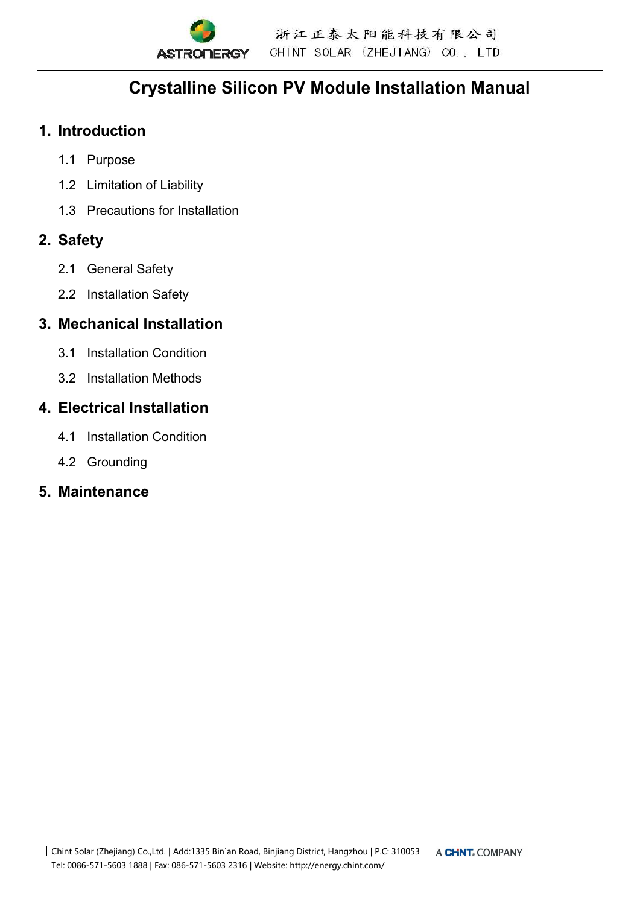

浙江正泰太阳能科技有限公司 CHINT SOLAR (ZHEJIANG) CO., LTD

# Crystalline Silicon PV Module Installation Manual

## 1. Introduction

- 1.1 Purpose
- 1.2 Limitation of Liability
- 1.3 Precautions for Installation

## 2. Safety

- 2.1 General Safety
- 2.2 Installation Safety

## 3. Mechanical Installation

- 3.1 Installation Condition
- 3.2 Installation Methods

## 4. Electrical Installation

- 4.1 Installation Condition
- 4.2 Grounding

## 5. Maintenance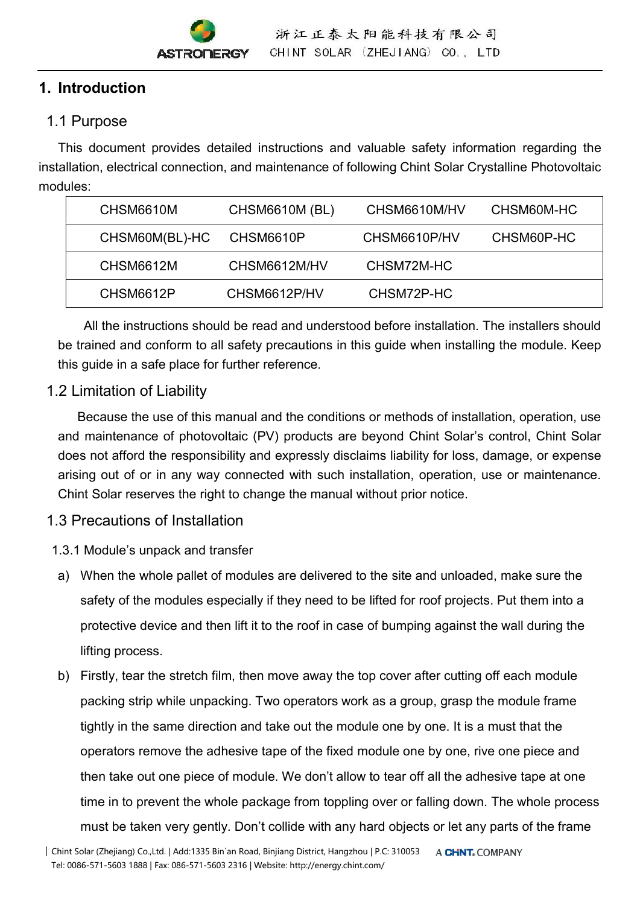

### 1. Introduction

### 1.1 Purpose

This document provides detailed instructions and valuable safety information regarding the installation, electrical connection, and maintenance of following Chint Solar Crystalline Photovoltaic modules:

| CHSM6610M        | <b>CHSM6610M (BL)</b> | CHSM6610M/HV | CHSM60M-HC |
|------------------|-----------------------|--------------|------------|
| CHSM60M(BL)-HC   | CHSM6610P             | CHSM6610P/HV | CHSM60P-HC |
| <b>CHSM6612M</b> | CHSM6612M/HV          | CHSM72M-HC   |            |
| CHSM6612P        | CHSM6612P/HV          | CHSM72P-HC   |            |

All the instructions should be read and understood before installation. The installers should be trained and conform to all safety precautions in this guide when installing the module. Keep this guide in a safe place for further reference.

### 1.2 Limitation of Liability

Because the use of this manual and the conditions or methods of installation, operation, use and maintenance of photovoltaic (PV) products are beyond Chint Solar's control, Chint Solar does not afford the responsibility and expressly disclaims liability for loss, damage, or expense arising out of or in any way connected with such installation, operation, use or maintenance. Chint Solar reserves the right to change the manual without prior notice.

### 1.3 Precautions of Installation

- 1.3.1 Module's unpack and transfer
- a) When the whole pallet of modules are delivered to the site and unloaded, make sure the safety of the modules especially if they need to be lifted for roof projects. Put them into a protective device and then lift it to the roof in case of bumping against the wall during the lifting process.
- b) Firstly, tear the stretch film, then move away the top cover after cutting off each module packing strip while unpacking. Two operators work as a group, grasp the module frame tightly in the same direction and take out the module one by one. It is a must that the operators remove the adhesive tape of the fixed module one by one, rive one piece and then take out one piece of module. We don't allow to tear off all the adhesive tape at one time in to prevent the whole package from toppling over or falling down. The whole process must be taken very gently. Don't collide with any hard objects or let any parts of the frame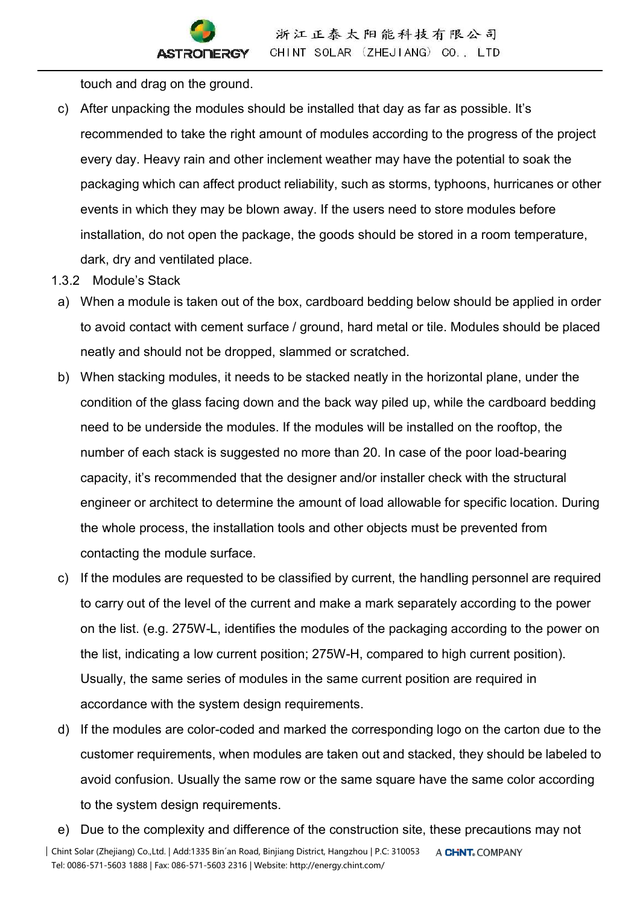

touch and drag on the ground.

- c) After unpacking the modules should be installed that day as far as possible. It's recommended to take the right amount of modules according to the progress of the project every day. Heavy rain and other inclement weather may have the potential to soak the packaging which can affect product reliability, such as storms, typhoons, hurricanes or other events in which they may be blown away. If the users need to store modules before installation, do not open the package, the goods should be stored in a room temperature, dark, dry and ventilated place.
- 1.3.2 Module's Stack
- a) When a module is taken out of the box, cardboard bedding below should be applied in order to avoid contact with cement surface / ground, hard metal or tile. Modules should be placed neatly and should not be dropped, slammed or scratched.
- b) When stacking modules, it needs to be stacked neatly in the horizontal plane, under the condition of the glass facing down and the back way piled up, while the cardboard bedding need to be underside the modules. If the modules will be installed on the rooftop, the number of each stack is suggested no more than 20. In case of the poor load-bearing capacity, it's recommended that the designer and/or installer check with the structural engineer or architect to determine the amount of load allowable for specific location. During the whole process, the installation tools and other objects must be prevented from contacting the module surface.
- c) If the modules are requested to be classified by current, the handling personnel are required to carry out of the level of the current and make a mark separately according to the power on the list. (e.g. 275W-L, identifies the modules of the packaging according to the power on the list, indicating a low current position; 275W-H, compared to high current position). Usually, the same series of modules in the same current position are required in accordance with the system design requirements.
- d) If the modules are color-coded and marked the corresponding logo on the carton due to the customer requirements, when modules are taken out and stacked, they should be labeled to avoid confusion. Usually the same row or the same square have the same color according to the system design requirements.
- e) Due to the complexity and difference of the construction site, these precautions may not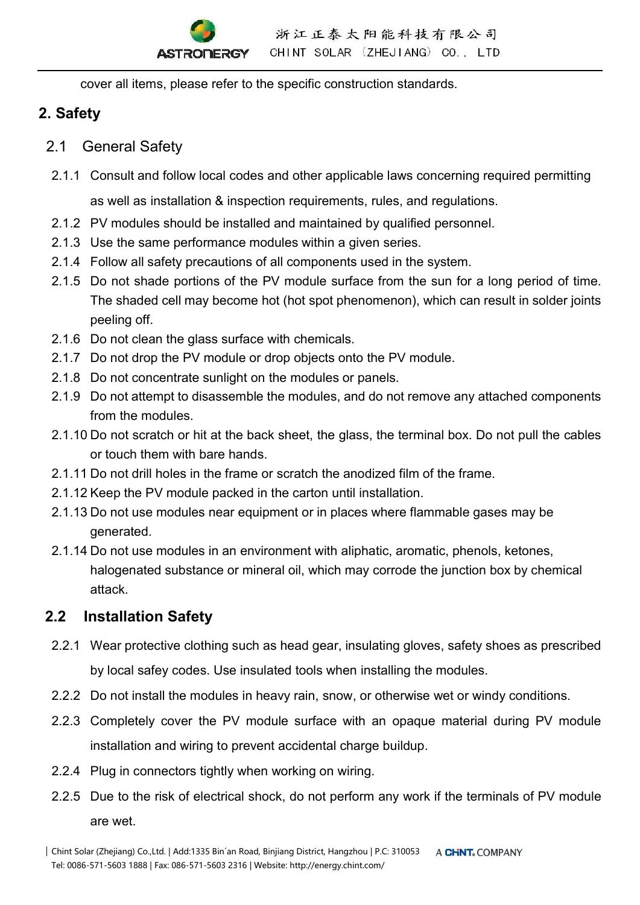

cover all items, please refer to the specific construction standards.

## 2. Safety

- 2.1 General Safety
- 2.1.1 Consult and follow local codes and other applicable laws concerning required permitting as well as installation & inspection requirements, rules, and regulations.
- 2.1.2 PV modules should be installed and maintained by qualified personnel.
- 2.1.3 Use the same performance modules within a given series.
- 2.1.4 Follow all safety precautions of all components used in the system.
- 2.1.5 Do not shade portions of the PV module surface from the sun for a long period of time. The shaded cell may become hot (hot spot phenomenon), which can result in solder joints peeling off.
- 2.1.6 Do not clean the glass surface with chemicals.
- 2.1.7 Do not drop the PV module or drop objects onto the PV module.
- 2.1.8 Do not concentrate sunlight on the modules or panels.
- 2.1.9 Do not attempt to disassemble the modules, and do not remove any attached components from the modules.
- 2.1.10 Do not scratch or hit at the back sheet, the glass, the terminal box. Do not pull the cables or touch them with bare hands.
- 2.1.11 Do not drill holes in the frame or scratch the anodized film of the frame.
- 2.1.12 Keep the PV module packed in the carton until installation.
- 2.1.13 Do not use modules near equipment or in places where flammable gases may be generated.
- 2.1.14 Do not use modules in an environment with aliphatic, aromatic, phenols, ketones, halogenated substance or mineral oil, which may corrode the junction box by chemical attack.

## 2.2 Installation Safety

- 2.2.1 Wear protective clothing such as head gear, insulating gloves, safety shoes as prescribed by local safey codes. Use insulated tools when installing the modules.
- 2.2.2 Do not install the modules in heavy rain, snow, or otherwise wet or windy conditions.
- 2.2.3 Completely cover the PV module surface with an opaque material during PV module installation and wiring to prevent accidental charge buildup.
- 2.2.4 Plug in connectors tightly when working on wiring.
- 2.2.5 Due to the risk of electrical shock, do not perform any work if the terminals of PV module are wet.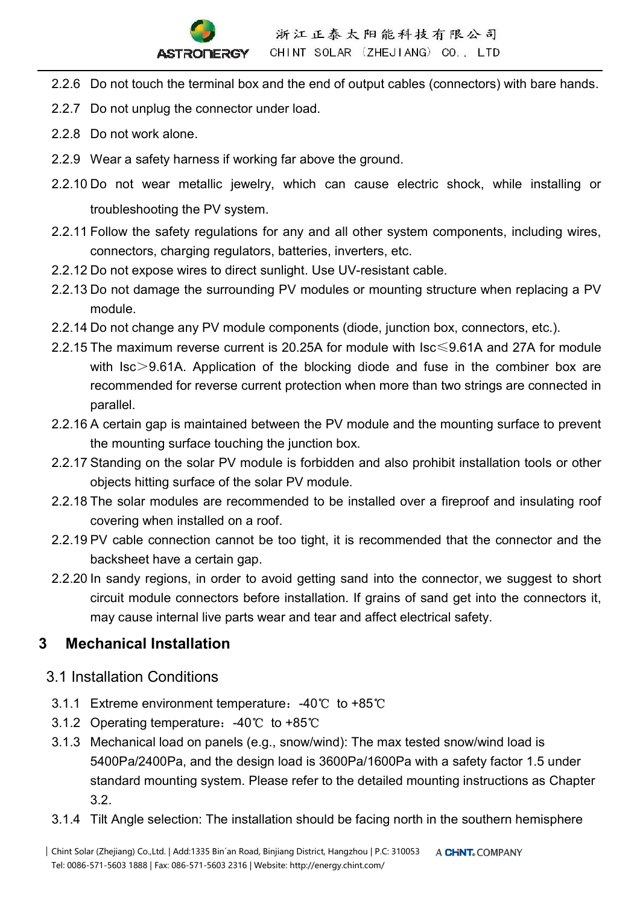

- 2.2.6 Do not touch the terminal box and the end of output cables (connectors) with bare hands.
- 2.2.7 Do not unplug the connector under load.
- 2.2.8 Do not work alone.
- 2.2.9 Wear a safety harness if working far above the ground.
- 2.2.10 Do not wear metallic jewelry, which can cause electric shock, while installing or troubleshooting the PV system.
- 2.2.11 Follow the safety regulations for any and all other system components, including wires, connectors, charging regulators, batteries, inverters, etc.
- 2.2.12 Do not expose wires to direct sunlight. Use UV-resistant cable.
- 2.2.13 Do not damage the surrounding PV modules or mounting structure when replacing a PV module.
- 2.2.14 Do not change any PV module components (diode, junction box, connectors, etc.).
- 2.2.15 The maximum reverse current is 20.25A for module with Isc≤9.61A and 27A for module with Isc > 9.61A. Application of the blocking diode and fuse in the combiner box are recommended for reverse current protection when more than two strings are connected in parallel.
- 2.2.16 A certain gap is maintained between the PV module and the mounting surface to prevent the mounting surface touching the junction box.
- 2.2.17 Standing on the solar PV module is forbidden and also prohibit installation tools or other objects hitting surface of the solar PV module.
- 2.2.18 The solar modules are recommended to be installed over a fireproof and insulating roof covering when installed on a roof.
- 2.2.19 PV cable connection cannot be too tight, it is recommended that the connector and the backsheet have a certain gap.
- 2.2.20 In sandy regions, in order to avoid getting sand into the connector, we suggest to short circuit module connectors before installation. If grains of sand get into the connectors it, may cause internal live parts wear and tear and affect electrical safety.

### 3 Mechanical Installation

- 3.1 Installation Conditions
- 3.1.1 Extreme environment temperature:-40℃ to +85℃
- 3.1.2 Operating temperature:-40℃ to +85℃
- 3.1.3 Mechanical load on panels (e.g., snow/wind): The max tested snow/wind load is 5400Pa/2400Pa, and the design load is 3600Pa/1600Pa with a safety factor 1.5 under standard mounting system. Please refer to the detailed mounting instructions as Chapter 3.2.
- 3.1.4 Tilt Angle selection: The installation should be facing north in the southern hemisphere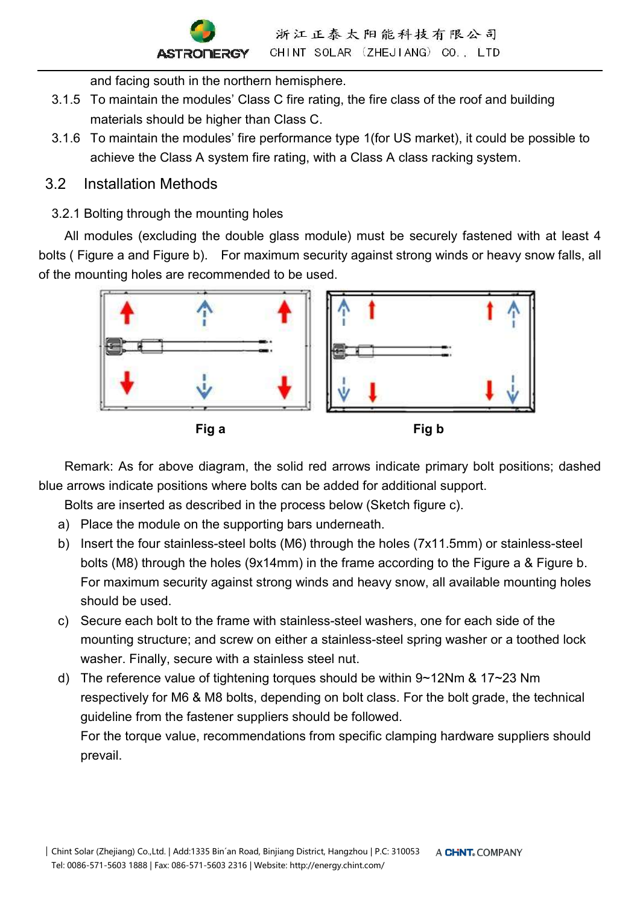

and facing south in the northern hemisphere.

- 3.1.5 To maintain the modules' Class C fire rating, the fire class of the roof and building materials should be higher than Class C.
- 3.1.6 To maintain the modules' fire performance type 1(for US market), it could be possible to achieve the Class A system fire rating, with a Class A class racking system.

### 3.2 Installation Methods

### 3.2.1 Bolting through the mounting holes

All modules (excluding the double glass module) must be securely fastened with at least 4 bolts ( Figure a and Figure b). For maximum security against strong winds or heavy snow falls, all of the mounting holes are recommended to be used.





Bolts are inserted as described in the process below (Sketch figure c).

- a) Place the module on the supporting bars underneath.
- b) Insert the four stainless-steel bolts (M6) through the holes (7x11.5mm) or stainless-steel bolts (M8) through the holes (9x14mm) in the frame according to the Figure a & Figure b. For maximum security against strong winds and heavy snow, all available mounting holes should be used.
- c) Secure each bolt to the frame with stainless-steel washers, one for each side of the mounting structure; and screw on either a stainless-steel spring washer or a toothed lock washer. Finally, secure with a stainless steel nut.
- d) The reference value of tightening torques should be within 9~12Nm & 17~23 Nm respectively for M6 & M8 bolts, depending on bolt class. For the bolt grade, the technical guideline from the fastener suppliers should be followed. For the torque value, recommendations from specific clamping hardware suppliers should prevail.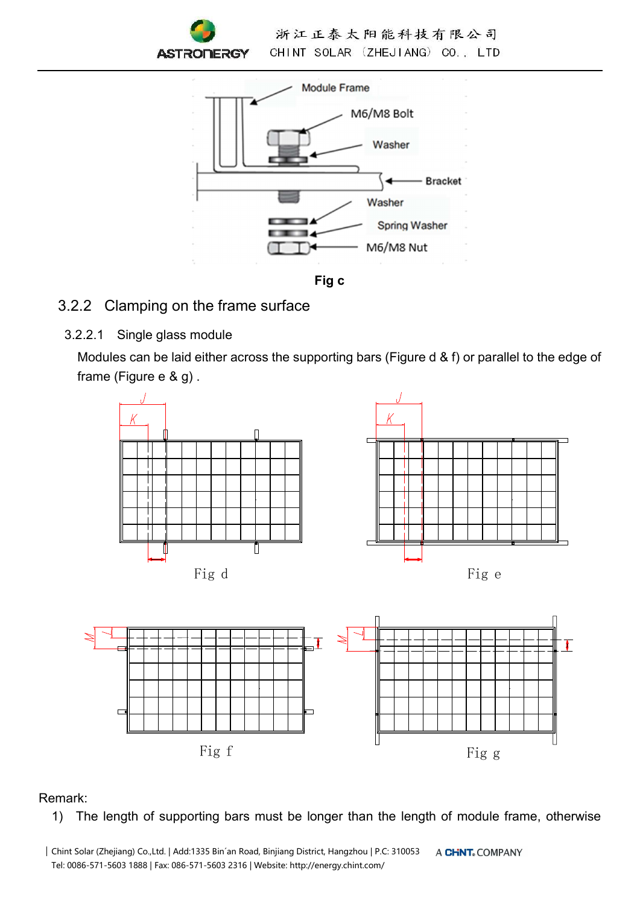

浙江正泰太阳能科技有限公司 CHINT SOLAR (ZHEJIANG) CO., LTD





## 3.2.2 Clamping on the frame surface

3.2.2.1 Single glass module

Modules can be laid either across the supporting bars (Figure d & f) or parallel to the edge of frame (Figure e & g) .





### Remark:

1) The length of supporting bars must be longer than the length of module frame, otherwise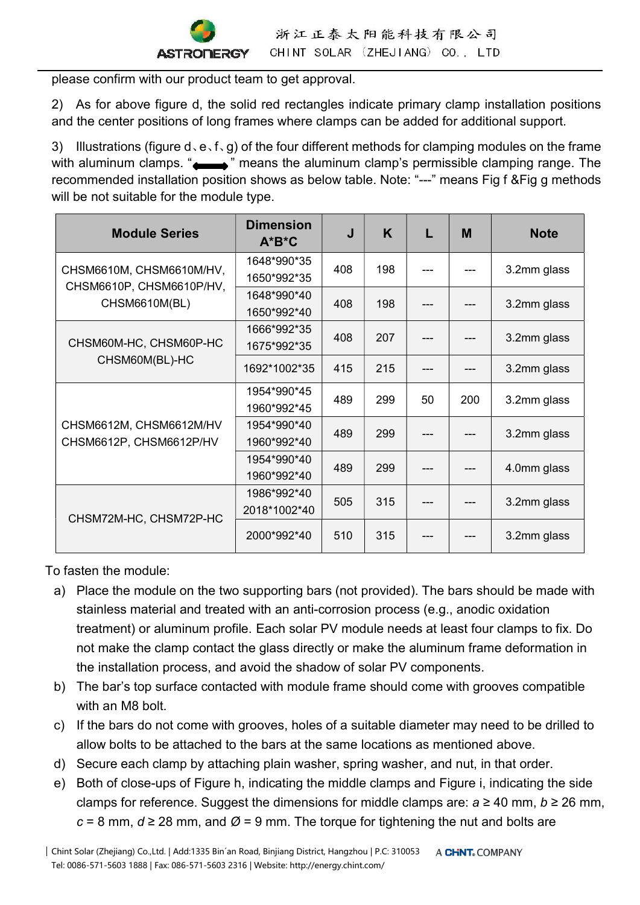

please confirm with our product team to get approval.

2) As for above figure d, the solid red rectangles indicate primary clamp installation positions and the center positions of long frames where clamps can be added for additional support.

3) Illustrations (figure d、e、f、g) of the four different methods for clamping modules on the frame with aluminum clamps. "
interesting the aluminum clamp's permissible clamping range. The recommended installation position shows as below table. Note: "---" means Fig f &Fig g methods will be not suitable for the module type.

| <b>Module Series</b>                                                  | <b>Dimension</b><br>$A^*B^*C$ | J   | K   | L  | M   | <b>Note</b> |
|-----------------------------------------------------------------------|-------------------------------|-----|-----|----|-----|-------------|
| CHSM6610M, CHSM6610M/HV,<br>CHSM6610P, CHSM6610P/HV,<br>CHSM6610M(BL) | 1648*990*35<br>1650*992*35    | 408 | 198 |    |     | 3.2mm glass |
|                                                                       | 1648*990*40<br>1650*992*40    | 408 | 198 |    |     | 3.2mm glass |
| CHSM60M-HC, CHSM60P-HC<br>CHSM60M(BL)-HC                              | 1666*992*35<br>1675*992*35    | 408 | 207 |    |     | 3.2mm glass |
|                                                                       | 1692*1002*35                  | 415 | 215 |    |     | 3.2mm glass |
| CHSM6612M, CHSM6612M/HV<br>CHSM6612P, CHSM6612P/HV                    | 1954*990*45<br>1960*992*45    | 489 | 299 | 50 | 200 | 3.2mm glass |
|                                                                       | 1954*990*40<br>1960*992*40    | 489 | 299 |    |     | 3.2mm glass |
|                                                                       | 1954*990*40<br>1960*992*40    | 489 | 299 |    |     | 4.0mm glass |
| CHSM72M-HC, CHSM72P-HC                                                | 1986*992*40<br>2018*1002*40   | 505 | 315 |    |     | 3.2mm glass |
|                                                                       | 2000*992*40                   | 510 | 315 |    |     | 3.2mm glass |

To fasten the module:

- a) Place the module on the two supporting bars (not provided). The bars should be made with stainless material and treated with an anti-corrosion process (e.g., anodic oxidation treatment) or aluminum profile. Each solar PV module needs at least four clamps to fix. Do not make the clamp contact the glass directly or make the aluminum frame deformation in the installation process, and avoid the shadow of solar PV components.
- b) The bar's top surface contacted with module frame should come with grooves compatible with an M8 bolt.
- c) If the bars do not come with grooves, holes of a suitable diameter may need to be drilled to allow bolts to be attached to the bars at the same locations as mentioned above.
- d) Secure each clamp by attaching plain washer, spring washer, and nut, in that order.
- e) Both of close-ups of Figure h, indicating the middle clamps and Figure i, indicating the side clamps for reference. Suggest the dimensions for middle clamps are:  $a \ge 40$  mm,  $b \ge 26$  mm,  $c = 8$  mm,  $d \ge 28$  mm, and  $\emptyset = 9$  mm. The torque for tightening the nut and bolts are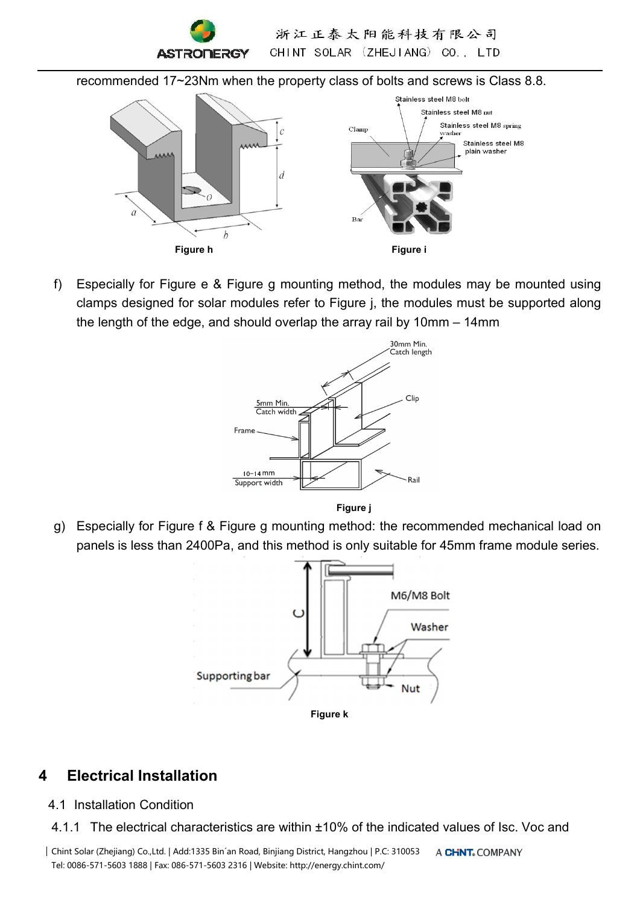

recommended 17~23Nm when the property class of bolts and screws is Class 8.8.



f) Especially for Figure e & Figure g mounting method, the modules may be mounted using clamps designed for solar modules refer to Figure j, the modules must be supported along the length of the edge, and should overlap the array rail by 10mm – 14mm



Figure j

g) Especially for Figure f & Figure g mounting method: the recommended mechanical load on panels is less than 2400Pa, and this method is only suitable for 45mm frame module series.



## 4 Electrical Installation

#### 4.1 Installation Condition

4.1.1 The electrical characteristics are within ±10% of the indicated values of Isc. Voc and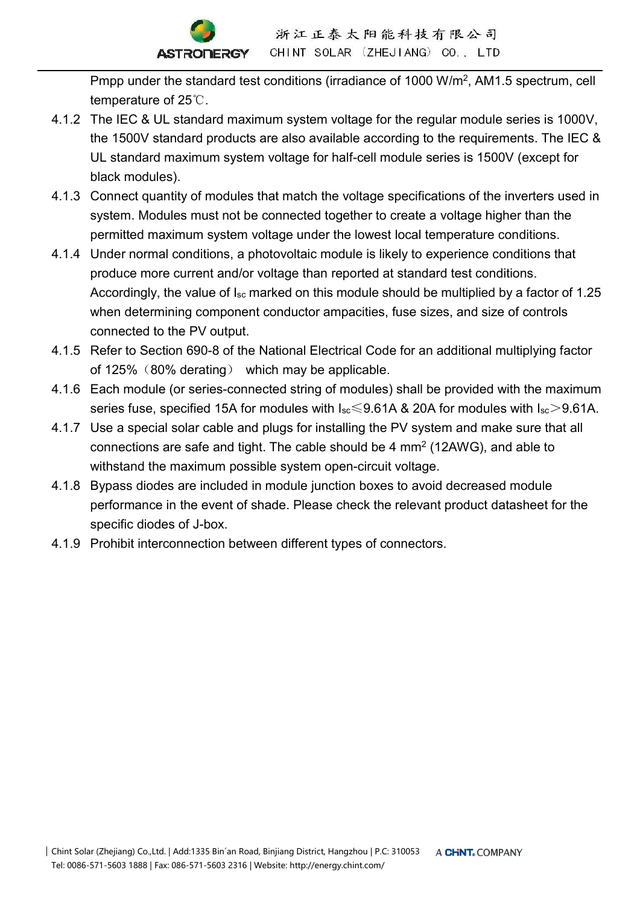

Pmpp under the standard test conditions (irradiance of 1000 W/m<sup>2</sup>, AM1.5 spectrum, cell temperature of 25℃.

- 4.1.2 The IEC & UL standard maximum system voltage for the regular module series is 1000V, the 1500V standard products are also available according to the requirements. The IEC & UL standard maximum system voltage for half-cell module series is 1500V (except for black modules).
- 4.1.3 Connect quantity of modules that match the voltage specifications of the inverters used in system. Modules must not be connected together to create a voltage higher than the permitted maximum system voltage under the lowest local temperature conditions.
- 4.1.4 Under normal conditions, a photovoltaic module is likely to experience conditions that produce more current and/or voltage than reported at standard test conditions. Accordingly, the value of I<sub>sc</sub> marked on this module should be multiplied by a factor of 1.25 when determining component conductor ampacities, fuse sizes, and size of controls connected to the PV output.
- 4.1.5 Refer to Section 690-8 of the National Electrical Code for an additional multiplying factor of 125%  $(80\%$  derating) which may be applicable.
- 4.1.6 Each module (or series-connected string of modules) shall be provided with the maximum series fuse, specified 15A for modules with Isc ≤9.61A & 20A for modules with Isc > 9.61A.
- 4.1.7 Use a special solar cable and plugs for installing the PV system and make sure that all connections are safe and tight. The cable should be 4  $mm<sup>2</sup>$  (12AWG), and able to withstand the maximum possible system open-circuit voltage.
- 4.1.8 Bypass diodes are included in module junction boxes to avoid decreased module performance in the event of shade. Please check the relevant product datasheet for the specific diodes of J-box.
- 4.1.9 Prohibit interconnection between different types of connectors.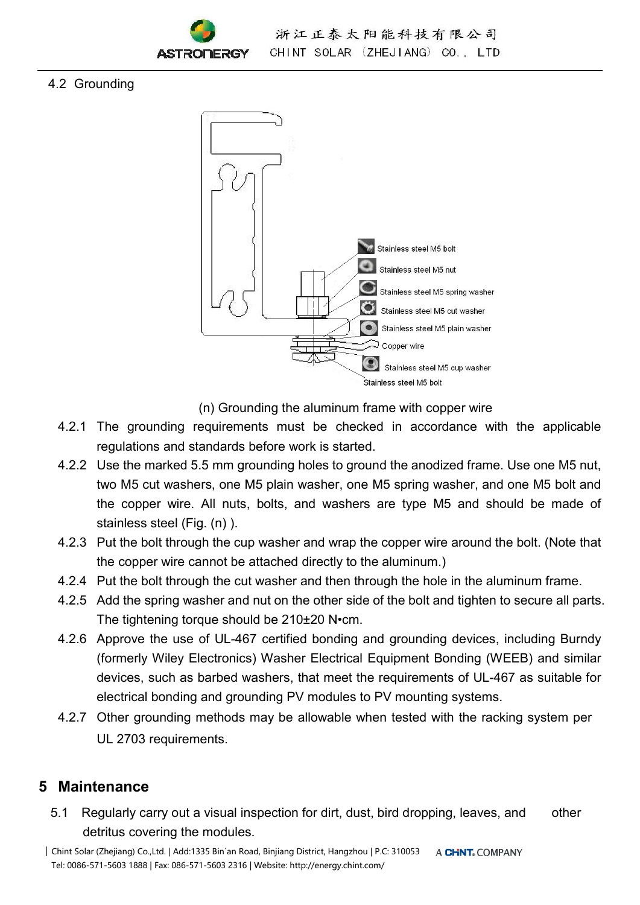

浙江正泰太阳能科技有限公司 CHINT SOLAR (ZHEJIANG) CO., LTD

### 4.2 Grounding



(n) Grounding the aluminum frame with copper wire

- 4.2.1 The grounding requirements must be checked in accordance with the applicable regulations and standards before work is started.
- 4.2.2 Use the marked 5.5 mm grounding holes to ground the anodized frame. Use one M5 nut, two M5 cut washers, one M5 plain washer, one M5 spring washer, and one M5 bolt and the copper wire. All nuts, bolts, and washers are type M5 and should be made of stainless steel (Fig. (n) ).
- 4.2.3 Put the bolt through the cup washer and wrap the copper wire around the bolt. (Note that the copper wire cannot be attached directly to the aluminum.)
- 4.2.4 Put the bolt through the cut washer and then through the hole in the aluminum frame.
- 4.2.5 Add the spring washer and nut on the other side of the bolt and tighten to secure all parts. The tightening torque should be 210±20 N•cm.
- 4.2.6 Approve the use of UL-467 certified bonding and grounding devices, including Burndy (formerly Wiley Electronics) Washer Electrical Equipment Bonding (WEEB) and similar devices, such as barbed washers, that meet the requirements of UL-467 as suitable for electrical bonding and grounding PV modules to PV mounting systems.
- 4.2.7 Other grounding methods may be allowable when tested with the racking system per UL 2703 requirements.

## 5 Maintenance

5.1 Regularly carry out a visual inspection for dirt, dust, bird dropping, leaves, and other detritus covering the modules.